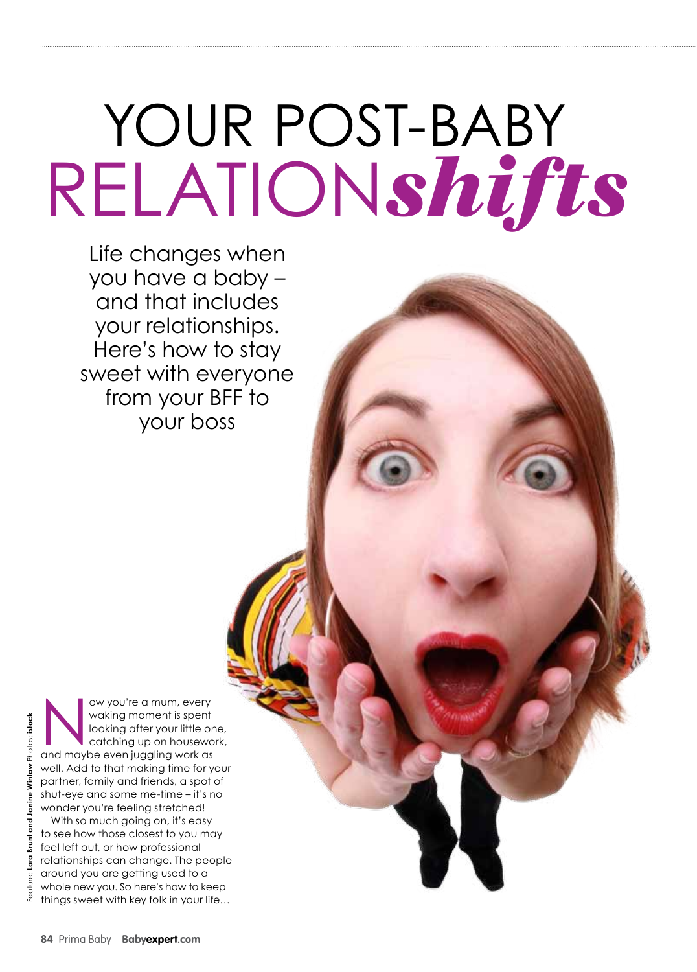# YOUR POST-BABY relation*shifts*

Life changes when you have a baby – and that includes your relationships. Here's how to stay sweet with everyone from your BFF to your boss

Now you're a mum, every<br>
waking moment is spent<br>
looking after your little or<br>
catching up on housewo<br>
and maybe even juggling work as waking moment is spent looking after your little one, catching up on housework, well. Add to that making time for your partner, family and friends, a spot of shut-eye and some me-time – it's no wonder you're feeling stretched!

With so much going on, it's easy to see how those closest to you may feel left out, or how professional relationships can change. The people around you are getting used to a whole new you. So here's how to keep things sweet with key folk in your life…